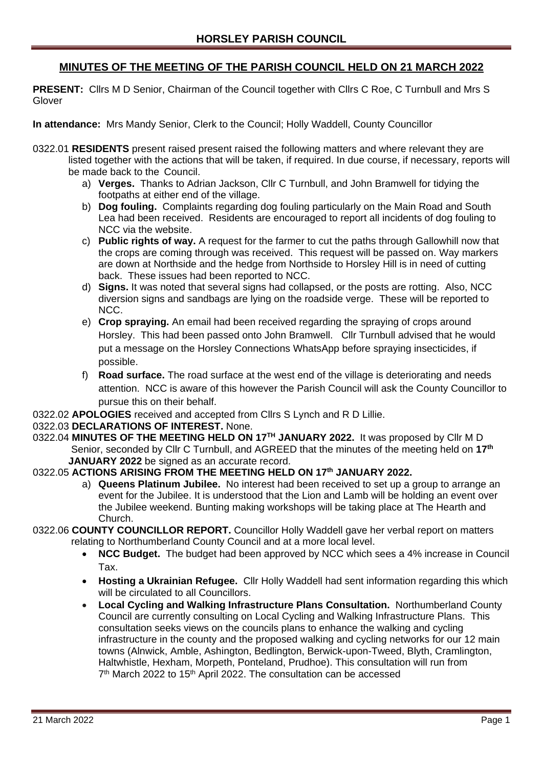# **MINUTES OF THE MEETING OF THE PARISH COUNCIL HELD ON 21 MARCH 2022**

**PRESENT:** Cllrs M D Senior, Chairman of the Council together with Cllrs C Roe, C Turnbull and Mrs S Glover

**In attendance:** Mrs Mandy Senior, Clerk to the Council; Holly Waddell, County Councillor

- 0322.01 **RESIDENTS** present raised present raised the following matters and where relevant they are listed together with the actions that will be taken, if required. In due course, if necessary, reports will be made back to the Council.
	- a) **Verges.** Thanks to Adrian Jackson, Cllr C Turnbull, and John Bramwell for tidying the footpaths at either end of the village.
	- b) **Dog fouling.** Complaints regarding dog fouling particularly on the Main Road and South Lea had been received. Residents are encouraged to report all incidents of dog fouling to NCC via the website.
	- c) **Public rights of way.** A request for the farmer to cut the paths through Gallowhill now that the crops are coming through was received. This request will be passed on. Way markers are down at Northside and the hedge from Northside to Horsley Hill is in need of cutting back. These issues had been reported to NCC.
	- d) **Signs.** It was noted that several signs had collapsed, or the posts are rotting. Also, NCC diversion signs and sandbags are lying on the roadside verge. These will be reported to NCC.
	- e) **Crop spraying.** An email had been received regarding the spraying of crops around Horsley. This had been passed onto John Bramwell. Cllr Turnbull advised that he would put a message on the Horsley Connections WhatsApp before spraying insecticides, if possible.
	- f) **Road surface.** The road surface at the west end of the village is deteriorating and needs attention. NCC is aware of this however the Parish Council will ask the County Councillor to pursue this on their behalf.
- 0322.02 **APOLOGIES** received and accepted from Cllrs S Lynch and R D Lillie.

## 0322.03 **DECLARATIONS OF INTEREST.** None.

0322.04 **MINUTES OF THE MEETING HELD ON 17TH JANUARY 2022.** It was proposed by Cllr M D Senior, seconded by Cllr C Turnbull, and AGREED that the minutes of the meeting held on **17th JANUARY 2022** be signed as an accurate record.

### 0322.05 **ACTIONS ARISING FROM THE MEETING HELD ON 17th JANUARY 2022.**

- a) **Queens Platinum Jubilee.** No interest had been received to set up a group to arrange an event for the Jubilee. It is understood that the Lion and Lamb will be holding an event over the Jubilee weekend. Bunting making workshops will be taking place at The Hearth and Church.
- 0322.06 **COUNTY COUNCILLOR REPORT.** Councillor Holly Waddell gave her verbal report on matters relating to Northumberland County Council and at a more local level.
	- **NCC Budget.** The budget had been approved by NCC which sees a 4% increase in Council Tax.
	- **Hosting a Ukrainian Refugee.** Cllr Holly Waddell had sent information regarding this which will be circulated to all Councillors.
	- **Local Cycling and Walking Infrastructure Plans Consultation.** Northumberland County Council are currently consulting on Local Cycling and Walking Infrastructure Plans. This consultation seeks views on the councils plans to enhance the walking and cycling infrastructure in the county and the proposed walking and cycling networks for our 12 main towns (Alnwick, Amble, Ashington, Bedlington, Berwick-upon-Tweed, Blyth, Cramlington, Haltwhistle, Hexham, Morpeth, Ponteland, Prudhoe). This consultation will run from 7<sup>th</sup> March 2022 to 15<sup>th</sup> April 2022. The consultation can be accessed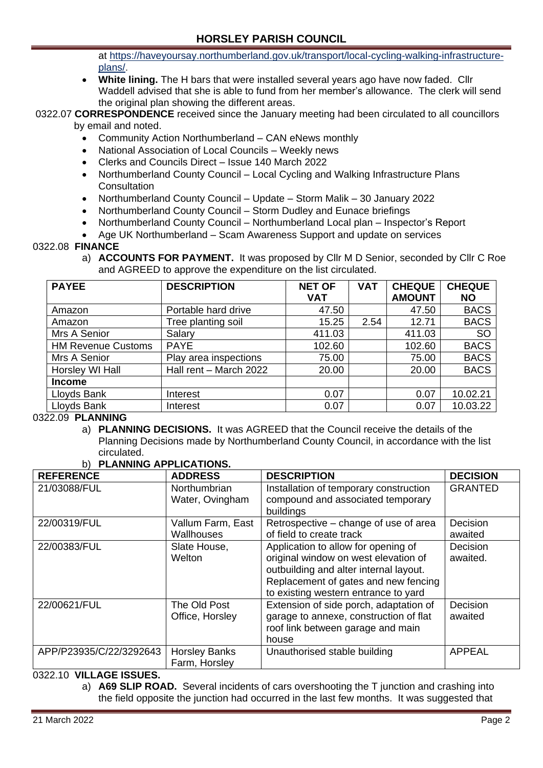at [https://haveyoursay.northumberland.gov.uk/transport/local-cycling-walking-infrastructure](https://gbr01.safelinks.protection.outlook.com/?url=https%3A%2F%2Fhaveyoursay.northumberland.gov.uk%2Ftransport%2Flocal-cycling-walking-infrastructure-plans%2F&data=04%7C01%7Ctracy.aitken%40northumberland.gov.uk%7C4a3a0be54b884cc7a87608da00e3fff0%7Cbb13a9de829042f0a980dc3bdfe70f40%7C0%7C0%7C637823276488534817%7CUnknown%7CTWFpbGZsb3d8eyJWIjoiMC4wLjAwMDAiLCJQIjoiV2luMzIiLCJBTiI6Ik1haWwiLCJXVCI6Mn0%3D%7C3000&sdata=6HQjUiFvjj1g39Bo7Zyt77e6pR%2FzVnqpLCrxitLp1uQ%3D&reserved=0)[plans/.](https://gbr01.safelinks.protection.outlook.com/?url=https%3A%2F%2Fhaveyoursay.northumberland.gov.uk%2Ftransport%2Flocal-cycling-walking-infrastructure-plans%2F&data=04%7C01%7Ctracy.aitken%40northumberland.gov.uk%7C4a3a0be54b884cc7a87608da00e3fff0%7Cbb13a9de829042f0a980dc3bdfe70f40%7C0%7C0%7C637823276488534817%7CUnknown%7CTWFpbGZsb3d8eyJWIjoiMC4wLjAwMDAiLCJQIjoiV2luMzIiLCJBTiI6Ik1haWwiLCJXVCI6Mn0%3D%7C3000&sdata=6HQjUiFvjj1g39Bo7Zyt77e6pR%2FzVnqpLCrxitLp1uQ%3D&reserved=0)

• **White lining.** The H bars that were installed several years ago have now faded. Cllr Waddell advised that she is able to fund from her member's allowance. The clerk will send the original plan showing the different areas.

## 0322.07 **CORRESPONDENCE** received since the January meeting had been circulated to all councillors by email and noted.

- Community Action Northumberland CAN eNews monthly
- National Association of Local Councils Weekly news
- Clerks and Councils Direct Issue 140 March 2022
- Northumberland County Council Local Cycling and Walking Infrastructure Plans **Consultation**
- Northumberland County Council Update Storm Malik 30 January 2022
- Northumberland County Council Storm Dudley and Eunace briefings
- Northumberland County Council Northumberland Local plan Inspector's Report
- Age UK Northumberland Scam Awareness Support and update on services

### 0322.08 **FINANCE**

a) **ACCOUNTS FOR PAYMENT.** It was proposed by Cllr M D Senior, seconded by Cllr C Roe and AGREED to approve the expenditure on the list circulated.

| <b>PAYEE</b>              | <b>DESCRIPTION</b>     | <b>NET OF</b> | <b>VAT</b> | <b>CHEQUE</b> | <b>CHEQUE</b> |
|---------------------------|------------------------|---------------|------------|---------------|---------------|
|                           |                        | <b>VAT</b>    |            | <b>AMOUNT</b> | <b>NO</b>     |
| Amazon                    | Portable hard drive    | 47.50         |            | 47.50         | <b>BACS</b>   |
| Amazon                    | Tree planting soil     | 15.25         | 2.54       | 12.71         | <b>BACS</b>   |
| Mrs A Senior              | Salary                 | 411.03        |            | 411.03        | <b>SO</b>     |
| <b>HM Revenue Customs</b> | <b>PAYE</b>            | 102.60        |            | 102.60        | <b>BACS</b>   |
| Mrs A Senior              | Play area inspections  | 75.00         |            | 75.00         | <b>BACS</b>   |
| Horsley WI Hall           | Hall rent - March 2022 | 20.00         |            | 20.00         | <b>BACS</b>   |
| <b>Income</b>             |                        |               |            |               |               |
| Lloyds Bank               | Interest               | 0.07          |            | 0.07          | 10.02.21      |
| Lloyds Bank               | Interest               | 0.07          |            | 0.07          | 10.03.22      |

### 0322.09 **PLANNING**

a) **PLANNING DECISIONS.** It was AGREED that the Council receive the details of the Planning Decisions made by Northumberland County Council, in accordance with the list circulated. **b) PLANNING APPLICATIONS.** 

| <b>REFERENCE</b>        | <b>ADDRESS</b>                         | <b>DESCRIPTION</b>                                                                                                                                                                                    | <b>DECISION</b>      |
|-------------------------|----------------------------------------|-------------------------------------------------------------------------------------------------------------------------------------------------------------------------------------------------------|----------------------|
| 21/03088/FUL            | Northumbrian<br>Water, Ovingham        | Installation of temporary construction<br>compound and associated temporary<br>buildings                                                                                                              | <b>GRANTED</b>       |
| 22/00319/FUL            | Vallum Farm, East<br><b>Wallhouses</b> | Retrospective – change of use of area<br>of field to create track                                                                                                                                     | Decision<br>awaited  |
| 22/00383/FUL            | Slate House,<br>Welton                 | Application to allow for opening of<br>original window on west elevation of<br>outbuilding and alter internal layout.<br>Replacement of gates and new fencing<br>to existing western entrance to yard | Decision<br>awaited. |
| 22/00621/FUL            | The Old Post<br>Office, Horsley        | Extension of side porch, adaptation of<br>garage to annexe, construction of flat<br>roof link between garage and main<br>house                                                                        | Decision<br>awaited  |
| APP/P23935/C/22/3292643 | <b>Horsley Banks</b><br>Farm, Horsley  | Unauthorised stable building                                                                                                                                                                          | <b>APPEAL</b>        |

### 0322.10 **VILLAGE ISSUES.**

a) **A69 SLIP ROAD.** Several incidents of cars overshooting the T junction and crashing into the field opposite the junction had occurred in the last few months. It was suggested that